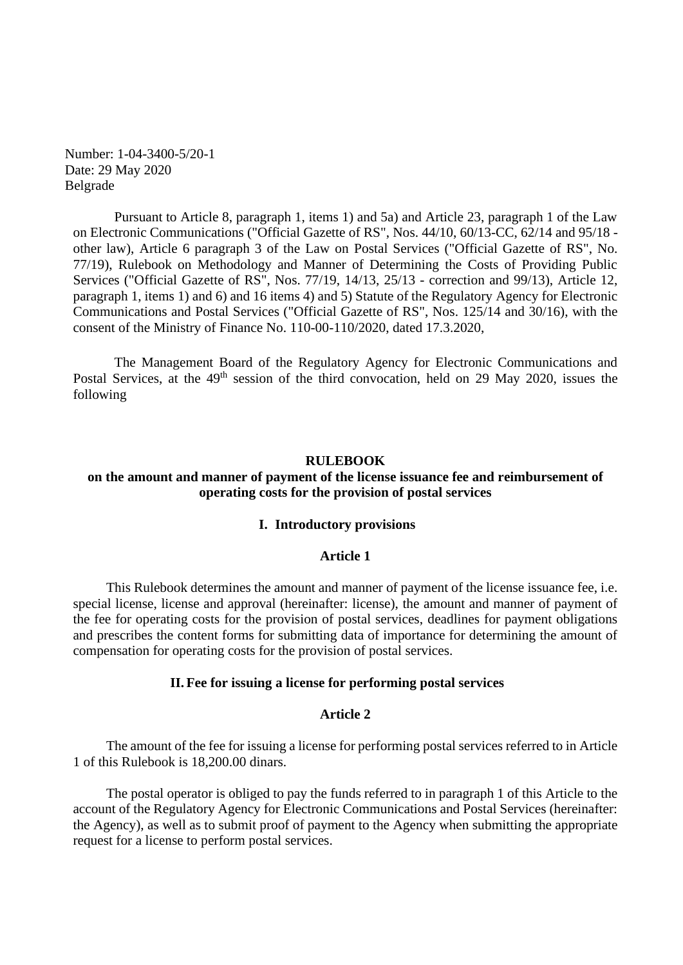Number: 1-04-3400-5/20-1 Date: 29 May 2020 Belgrade

Pursuant to Article 8, paragraph 1, items 1) and 5a) and Article 23, paragraph 1 of the Law on Electronic Communications ("Official Gazette of RS", Nos. 44/10, 60/13-CC, 62/14 and 95/18 other law), Article 6 paragraph 3 of the Law on Postal Services ("Official Gazette of RS", No. 77/19), Rulebook on Methodology and Manner of Determining the Costs of Providing Public Services ("Official Gazette of RS", Nos. 77/19, 14/13, 25/13 - correction and 99/13), Article 12, paragraph 1, items 1) and 6) and 16 items 4) and 5) Statute of the Regulatory Agency for Electronic Communications and Postal Services ("Official Gazette of RS", Nos. 125/14 and 30/16), with the consent of the Ministry of Finance No. 110-00-110/2020, dated 17.3.2020,

The Management Board of the Regulatory Agency for Electronic Communications and Postal Services, at the 49<sup>th</sup> session of the third convocation, held on 29 May 2020, issues the following

## **RULEBOOK**

# **on the amount and manner of payment of the license issuance fee and reimbursement of operating costs for the provision of postal services**

#### **I. Introductory provisions**

## **Article 1**

This Rulebook determines the amount and manner of payment of the license issuance fee, i.e. special license, license and approval (hereinafter: license), the amount and manner of payment of the fee for operating costs for the provision of postal services, deadlines for payment obligations and prescribes the content forms for submitting data of importance for determining the amount of compensation for operating costs for the provision of postal services.

## **II.Fee for issuing a license for performing postal services**

#### **Article 2**

The amount of the fee for issuing a license for performing postal services referred to in Article 1 of this Rulebook is 18,200.00 dinars.

The postal operator is obliged to pay the funds referred to in paragraph 1 of this Article to the account of the Regulatory Agency for Electronic Communications and Postal Services (hereinafter: the Agency), as well as to submit proof of payment to the Agency when submitting the appropriate request for a license to perform postal services.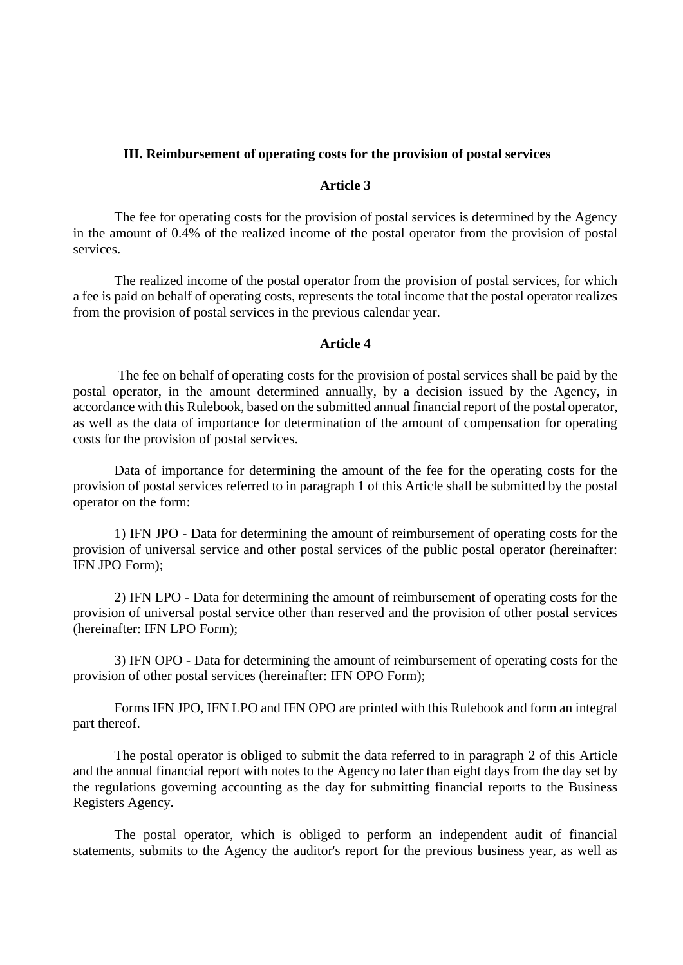# **III. Reimbursement of operating costs for the provision of postal services**

# **Article 3**

The fee for operating costs for the provision of postal services is determined by the Agency in the amount of 0.4% of the realized income of the postal operator from the provision of postal services.

The realized income of the postal operator from the provision of postal services, for which a fee is paid on behalf of operating costs, represents the total income that the postal operator realizes from the provision of postal services in the previous calendar year.

## **Article 4**

The fee on behalf of operating costs for the provision of postal services shall be paid by the postal operator, in the amount determined annually, by a decision issued by the Agency, in accordance with this Rulebook, based on the submitted annual financial report of the postal operator, as well as the data of importance for determination of the amount of compensation for operating costs for the provision of postal services.

Data of importance for determining the amount of the fee for the operating costs for the provision of postal services referred to in paragraph 1 of this Article shall be submitted by the postal operator on the form:

1) IFN JPO - Data for determining the amount of reimbursement of operating costs for the provision of universal service and other postal services of the public postal operator (hereinafter: IFN JPO Form);

2) IFN LPO - Data for determining the amount of reimbursement of operating costs for the provision of universal postal service other than reserved and the provision of other postal services (hereinafter: IFN LPO Form);

3) IFN OPO - Data for determining the amount of reimbursement of operating costs for the provision of other postal services (hereinafter: IFN OPO Form);

Forms IFN JPO, IFN LPO and IFN OPO are printed with this Rulebook and form an integral part thereof.

The postal operator is obliged to submit the data referred to in paragraph 2 of this Article and the annual financial report with notes to the Agency no later than eight days from the day set by the regulations governing accounting as the day for submitting financial reports to the Business Registers Agency.

The postal operator, which is obliged to perform an independent audit of financial statements, submits to the Agency the auditor's report for the previous business year, as well as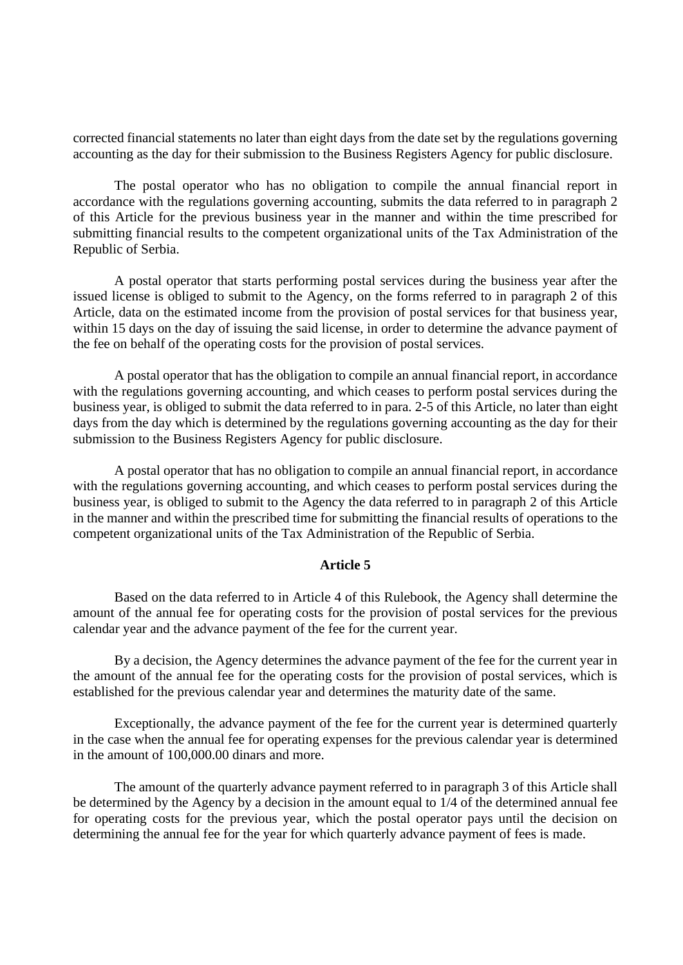corrected financial statements no later than eight days from the date set by the regulations governing accounting as the day for their submission to the Business Registers Agency for public disclosure.

The postal operator who has no obligation to compile the annual financial report in accordance with the regulations governing accounting, submits the data referred to in paragraph 2 of this Article for the previous business year in the manner and within the time prescribed for submitting financial results to the competent organizational units of the Tax Administration of the Republic of Serbia.

A postal operator that starts performing postal services during the business year after the issued license is obliged to submit to the Agency, on the forms referred to in paragraph 2 of this Article, data on the estimated income from the provision of postal services for that business year, within 15 days on the day of issuing the said license, in order to determine the advance payment of the fee on behalf of the operating costs for the provision of postal services.

A postal operator that has the obligation to compile an annual financial report, in accordance with the regulations governing accounting, and which ceases to perform postal services during the business year, is obliged to submit the data referred to in para. 2-5 of this Article, no later than eight days from the day which is determined by the regulations governing accounting as the day for their submission to the Business Registers Agency for public disclosure.

A postal operator that has no obligation to compile an annual financial report, in accordance with the regulations governing accounting, and which ceases to perform postal services during the business year, is obliged to submit to the Agency the data referred to in paragraph 2 of this Article in the manner and within the prescribed time for submitting the financial results of operations to the competent organizational units of the Tax Administration of the Republic of Serbia.

# **Article 5**

Based on the data referred to in Article 4 of this Rulebook, the Agency shall determine the amount of the annual fee for operating costs for the provision of postal services for the previous calendar year and the advance payment of the fee for the current year.

By a decision, the Agency determines the advance payment of the fee for the current year in the amount of the annual fee for the operating costs for the provision of postal services, which is established for the previous calendar year and determines the maturity date of the same.

Exceptionally, the advance payment of the fee for the current year is determined quarterly in the case when the annual fee for operating expenses for the previous calendar year is determined in the amount of 100,000.00 dinars and more.

The amount of the quarterly advance payment referred to in paragraph 3 of this Article shall be determined by the Agency by a decision in the amount equal to 1/4 of the determined annual fee for operating costs for the previous year, which the postal operator pays until the decision on determining the annual fee for the year for which quarterly advance payment of fees is made.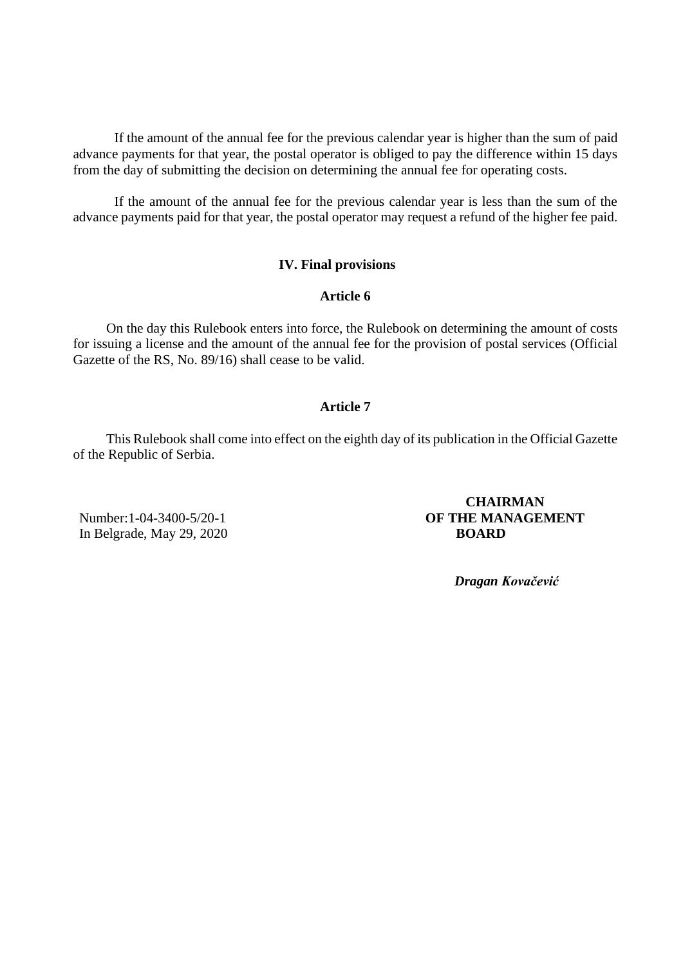If the amount of the annual fee for the previous calendar year is higher than the sum of paid advance payments for that year, the postal operator is obliged to pay the difference within 15 days from the day of submitting the decision on determining the annual fee for operating costs.

If the amount of the annual fee for the previous calendar year is less than the sum of the advance payments paid for that year, the postal operator may request a refund of the higher fee paid.

# **IV. Final provisions**

## **Article 6**

On the day this Rulebook enters into force, the Rulebook on determining the amount of costs for issuing a license and the amount of the annual fee for the provision of postal services (Official Gazette of the RS, No. 89/16) shall cease to be valid.

# **Article 7**

This Rulebook shall come into effect on the eighth day of its publication in the Official Gazette of the Republic of Serbia.

Number:1-04-3400-5/20-1 In Belgrade, May 29, 2020

# **CHAIRMAN OF THE MANAGEMENT BOARD**

 *Dragan Kovačević*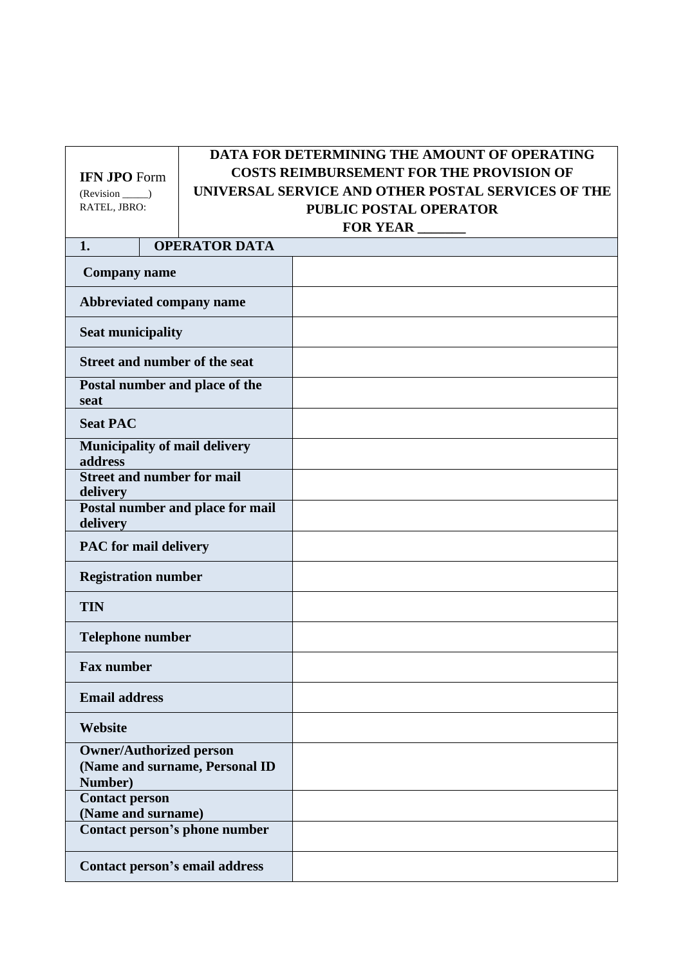# **IFN JPO** Form (Revision \_\_\_\_\_) RATEL, JBRO:

# **DATA FOR DETERMINING THE AMOUNT OF OPERATING COSTS REIMBURSEMENT FOR THE PROVISION OF UNIVERSAL SERVICE AND OTHER POSTAL SERVICES OF THE PUBLIC POSTAL OPERATOR FOR YEAR \_\_\_\_\_\_\_**

# **1. OPERATOR DATA Company name Abbreviated company name Seat municipality Street and number of the seat Postal number and place of the seat Seat PAC Municipality of mail delivery address Street and number for mail delivery Postal number and place for mail delivery PAC for mail delivery Registration number TIN Telephone number Fax number Email address Website Owner/Authorized person (Name and surname, Personal ID Number) Contact person (Name and surname) Contact person's phone number Contact person's email address**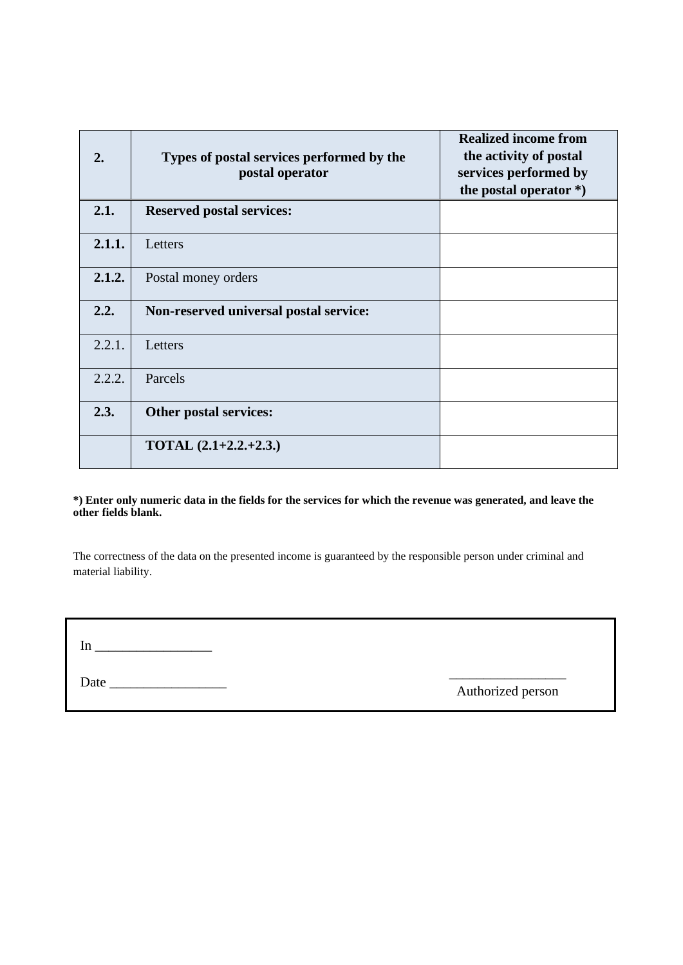| 2.     | Types of postal services performed by the<br>postal operator | <b>Realized income from</b><br>the activity of postal<br>services performed by<br>the postal operator $*)$ |
|--------|--------------------------------------------------------------|------------------------------------------------------------------------------------------------------------|
| 2.1.   | <b>Reserved postal services:</b>                             |                                                                                                            |
| 2.1.1. | Letters                                                      |                                                                                                            |
| 2.1.2. | Postal money orders                                          |                                                                                                            |
| 2.2.   | Non-reserved universal postal service:                       |                                                                                                            |
| 2.2.1. | Letters                                                      |                                                                                                            |
| 2.2.2. | Parcels                                                      |                                                                                                            |
| 2.3.   | Other postal services:                                       |                                                                                                            |
|        | <b>TOTAL</b> $(2.1+2.2.+2.3.)$                               |                                                                                                            |

## **\*) Enter only numeric data in the fields for the services for which the revenue was generated, and leave the other fields blank.**

The correctness of the data on the presented income is guaranteed by the responsible person under criminal and material liability.

| In   |  |  |  |
|------|--|--|--|
| Date |  |  |  |

\_\_\_\_\_\_\_\_\_\_\_\_\_\_\_\_\_ Authorized person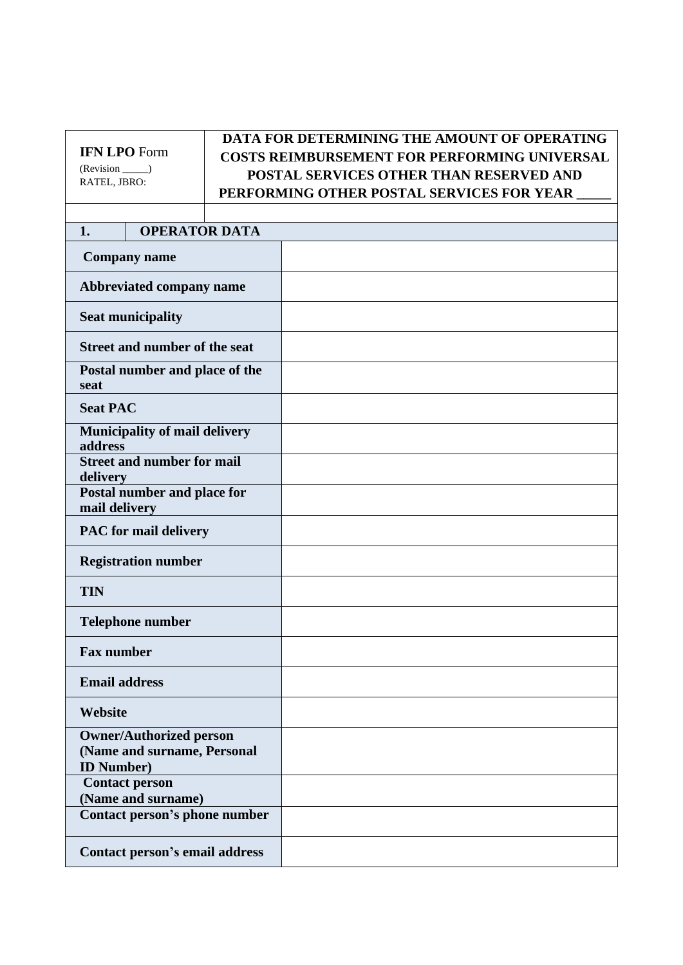# **IFN LPO** Form (Revision \_\_\_\_\_) RATEL, JBRO:

# **DATA FOR DETERMINING THE AMOUNT OF OPERATING COSTS REIMBURSEMENT FOR PERFORMING UNIVERSAL POSTAL SERVICES OTHER THAN RESERVED AND PERFORMING OTHER POSTAL SERVICES FOR YEAR \_\_\_\_\_**

# **1. OPERATOR DATA**

| <b>Company name</b>                                                                 |  |
|-------------------------------------------------------------------------------------|--|
| Abbreviated company name                                                            |  |
| <b>Seat municipality</b>                                                            |  |
| <b>Street and number of the seat</b>                                                |  |
| Postal number and place of the<br>seat                                              |  |
| <b>Seat PAC</b>                                                                     |  |
| Municipality of mail delivery<br>address                                            |  |
| <b>Street and number for mail</b><br>delivery                                       |  |
| Postal number and place for<br>mail delivery                                        |  |
| <b>PAC</b> for mail delivery                                                        |  |
| <b>Registration number</b>                                                          |  |
| <b>TIN</b>                                                                          |  |
| <b>Telephone number</b>                                                             |  |
| <b>Fax number</b>                                                                   |  |
| <b>Email address</b>                                                                |  |
| Website                                                                             |  |
| <b>Owner/Authorized person</b><br>(Name and surname, Personal<br><b>ID Number</b> ) |  |
| <b>Contact person</b><br>(Name and surname)                                         |  |
| Contact person's phone number                                                       |  |
| Contact person's email address                                                      |  |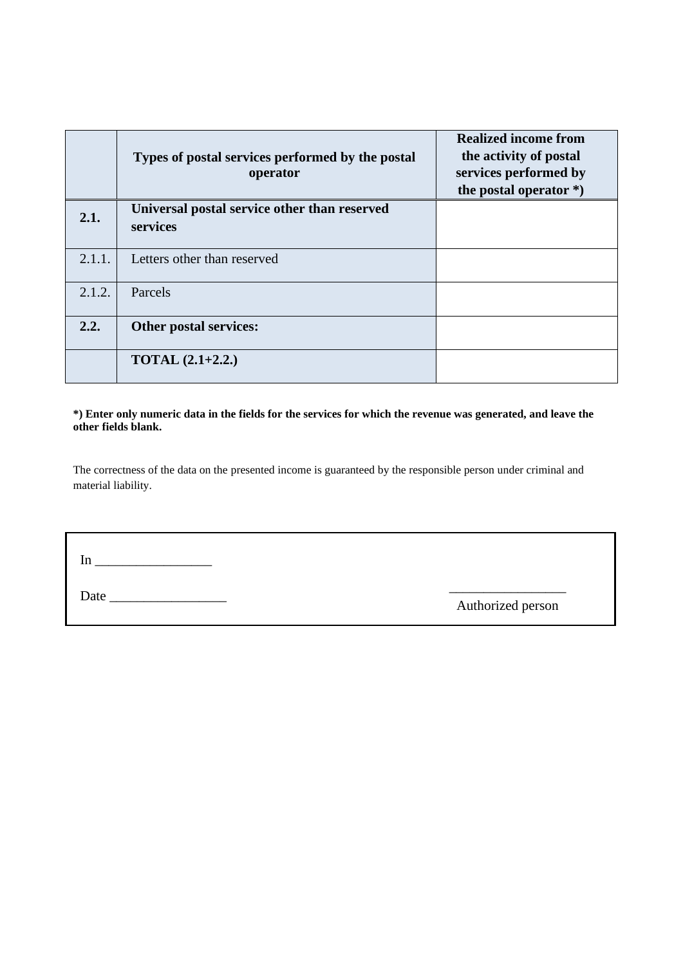|        | Types of postal services performed by the postal<br>operator | <b>Realized income from</b><br>the activity of postal<br>services performed by<br>the postal operator $*)$ |
|--------|--------------------------------------------------------------|------------------------------------------------------------------------------------------------------------|
| 2.1.   | Universal postal service other than reserved<br>services     |                                                                                                            |
| 2.1.1. | Letters other than reserved                                  |                                                                                                            |
| 2.1.2. | Parcels                                                      |                                                                                                            |
| 2.2.   | <b>Other postal services:</b>                                |                                                                                                            |
|        | <b>TOTAL</b> $(2.1+2.2.)$                                    |                                                                                                            |

# **\*) Enter only numeric data in the fields for the services for which the revenue was generated, and leave the other fields blank.**

The correctness of the data on the presented income is guaranteed by the responsible person under criminal and material liability.

In  $\overline{\phantom{a}}$ 

Date \_\_\_\_\_\_\_\_\_\_\_\_\_\_\_\_\_ \_\_\_\_\_\_\_\_\_\_\_\_\_\_\_\_\_

Authorized person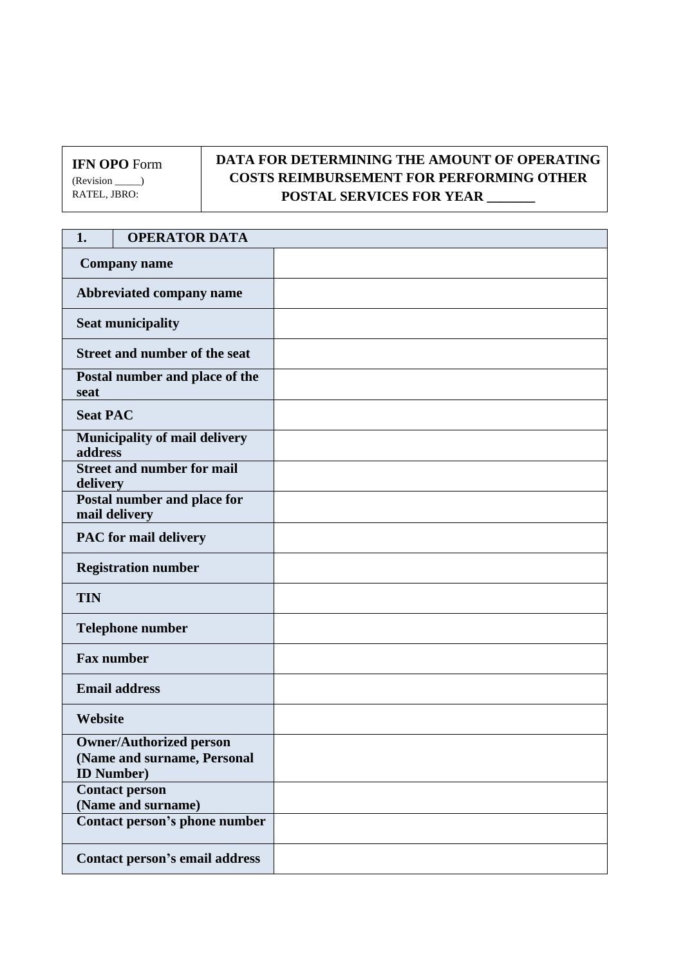**IFN OPO** Form (Revision \_\_\_\_\_) RATEL, JBRO:

# **DATA FOR DETERMINING THE AMOUNT OF OPERATING COSTS REIMBURSEMENT FOR PERFORMING OTHER POSTAL SERVICES FOR YEAR \_\_\_\_\_\_\_**

| 1.                                            | <b>OPERATOR DATA</b>                                          |  |
|-----------------------------------------------|---------------------------------------------------------------|--|
| <b>Company name</b>                           |                                                               |  |
| Abbreviated company name                      |                                                               |  |
| <b>Seat municipality</b>                      |                                                               |  |
| Street and number of the seat                 |                                                               |  |
| Postal number and place of the<br>seat        |                                                               |  |
| <b>Seat PAC</b>                               |                                                               |  |
| Municipality of mail delivery<br>address      |                                                               |  |
| <b>Street and number for mail</b><br>delivery |                                                               |  |
| Postal number and place for<br>mail delivery  |                                                               |  |
| <b>PAC</b> for mail delivery                  |                                                               |  |
| <b>Registration number</b>                    |                                                               |  |
| <b>TIN</b>                                    |                                                               |  |
| <b>Telephone number</b>                       |                                                               |  |
| <b>Fax number</b>                             |                                                               |  |
| <b>Email address</b>                          |                                                               |  |
| Website                                       |                                                               |  |
| <b>ID Number</b> )                            | <b>Owner/Authorized person</b><br>(Name and surname, Personal |  |
|                                               | <b>Contact person</b><br>(Name and surname)                   |  |
| Contact person's phone number                 |                                                               |  |
|                                               | Contact person's email address                                |  |